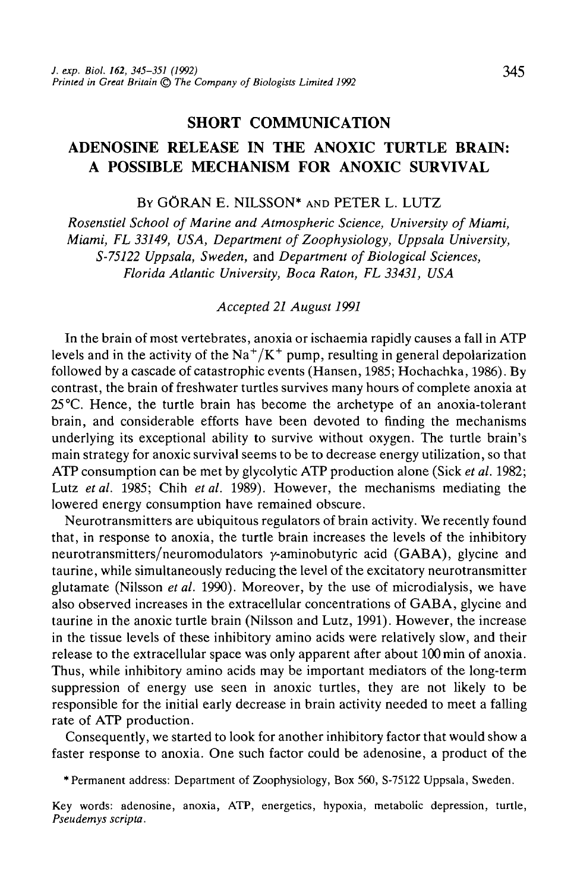## **SHORT COMMUNICATION**

# **ADENOSINE RELEASE IN THE ANOXIC TURTLE BRAIN: A POSSIBLE MECHANISM FOR ANOXIC SURVIVAL**

BY GORAN E. NILSSON\* AND PETER L. LUTZ

*Rosenstiel School of Marine and Atmospheric Science, University of Miami, Miami, FL 33149, USA, Department of Zoophysiology, Uppsala University, S-75122 Uppsala, Sweden,* and *Department of Biological Sciences, Florida Atlantic University, Boca Raton, FL 33431, USA*

### *Accepted 21 August 1991*

In the brain of most vertebrates, anoxia or ischaemia rapidly causes a fall in ATP levels and in the activity of the  $\text{Na}^+/\text{K}^+$  pump, resulting in general depolarization followed by a cascade of catastrophic events (Hansen, 1985; Hochachka, 1986). By contrast, the brain of freshwater turtles survives many hours of complete anoxia at 25°C. Hence, the turtle brain has become the archetype of an anoxia-tolerant brain, and considerable efforts have been devoted to finding the mechanisms underlying its exceptional ability to survive without oxygen. The turtle brain's main strategy for anoxic survival seems to be to decrease energy utilization, so that ATP consumption can be met by glycolytic ATP production alone (Sick *et al.* 1982; Lutz *etal.* 1985; Chih *et al.* 1989). However, the mechanisms mediating the lowered energy consumption have remained obscure.

Neurotransmitters are ubiquitous regulators of brain activity. We recently found that, in response to anoxia, the turtle brain increases the levels of the inhibitory neurotransmitters/neuromodulators y-aminobutyric acid (GABA), glycine and taurine, while simultaneously reducing the level of the excitatory neurotransmitter glutamate (Nilsson *etal.* 1990). Moreover, by the use of microdialysis, we have also observed increases in the extracellular concentrations of GABA, glycine and taurine in the anoxic turtle brain (Nilsson and Lutz, 1991). However, the increase in the tissue levels of these inhibitory amino acids were relatively slow, and their release to the extracellular space was only apparent after about 100 min of anoxia. Thus, while inhibitory amino acids may be important mediators of the long-term suppression of energy use seen in anoxic turtles, they are not likely to be responsible for the initial early decrease in brain activity needed to meet a falling rate of ATP production.

Consequently, we started to look for another inhibitory factor that would show a faster response to anoxia. One such factor could be adenosine, a product of the

\* Permanent address: Department of Zoophysiology, Box 560, S-75122 Uppsala, Sweden.

Key words: adenosine, anoxia, ATP, energetics, hypoxia, metabolic depression, turtle, *Pseudemys scripta.*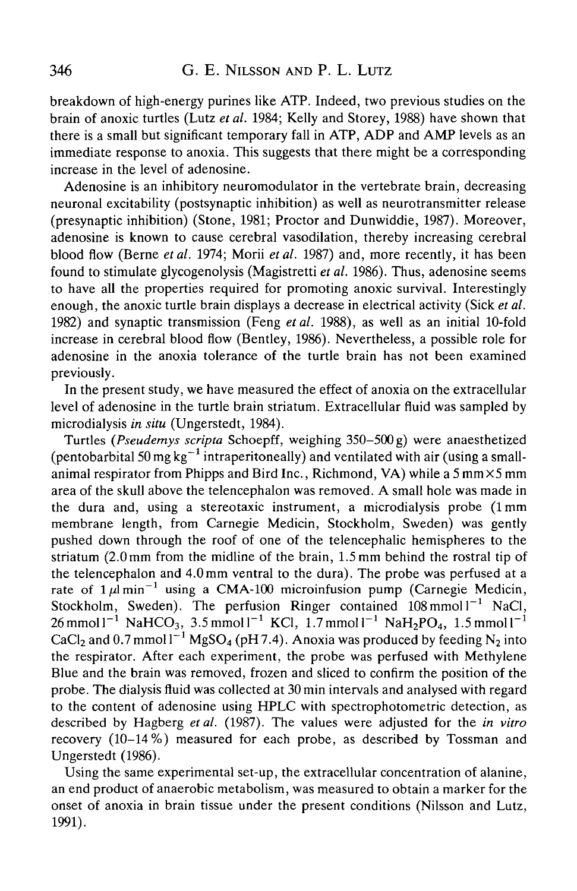breakdown of high-energy purines like ATP. Indeed, two previous studies on the brain of anoxic turtles (Lutz *et al.* 1984; Kelly and Storey, 1988) have shown that there is a small but significant temporary fall in ATP, ADP and AMP levels as an immediate response to anoxia. This suggests that there might be a corresponding increase in the level of adenosine.

Adenosine is an inhibitory neuromodulator in the vertebrate brain, decreasing neuronal excitability (postsynaptic inhibition) as well as neurotransmitter release (presynaptic inhibition) (Stone, 1981; Proctor and Dunwiddie, 1987). Moreover, adenosine is known to cause cerebral vasodilation, thereby increasing cerebral blood flow (Berne *et al.* 1974; Morii *et al.* 1987) and, more recently, it has been found to stimulate glycogenolysis (Magistretti *et al.* 1986). Thus, adenosine seems to have all the properties required for promoting anoxic survival. Interestingly enough, the anoxic turtle brain displays a decrease in electrical activity (Sick *et al.* 1982) and synaptic transmission (Feng *etal.* 1988), as well as an initial 10-fold increase in cerebral blood flow (Bentley, 1986). Nevertheless, a possible role for adenosine in the anoxia tolerance of the turtle brain has not been examined previously.

In the present study, we have measured the effect of anoxia on the extracellular level of adenosine in the turtle brain striatum. Extracellular fluid was sampled by microdialysis *in situ* (Ungerstedt, 1984).

Turtles *(Pseudemys scripta* Schoepff, weighing 350-500 g) were anaesthetized (pentobarbital 50 mg  $\text{kg}^{-1}$  intraperitoneally) and ventilated with air (using a smallanimal respirator from Phipps and Bird Inc., Richmond, VA) while a  $5 \text{ mm} \times 5 \text{ mm}$ area of the skull above the telencephalon was removed. A small hole was made in the dura and, using a stereotaxic instrument, a microdialysis probe (1 mm membrane length, from Carnegie Medicin, Stockholm, Sweden) was gently pushed down through the roof of one of the telencephalic hemispheres to the striatum (2.0mm from the midline of the brain, 1.5 mm behind the rostral tip of the telencephalon and 4.0mm ventral to the dura). The probe was perfused at a rate of  $1 \mu$ lmin<sup>-1</sup> using a CMA-100 microinfusion pump (Carnegie Medicin, Stockholm, Sweden). The perfusion Ringer contained  $108 \text{ mmol}1^{-1}$  NaCl,  $26 \text{ mmol } 1^{-1} \text{ NaHCO}_3$ , 3.5 mmol $1^{-1}$  KCl, 1.7 mmol $1^{-1}$  NaH<sub>2</sub>PO<sub>4</sub>, 1.5 mmol $1^{-1}$ CaCl<sub>2</sub> and 0.7 mmol  $I^{-1}$  MgSO<sub>4</sub> (pH7.4). Anoxia was produced by feeding N<sub>2</sub> into the respirator. After each experiment, the probe was perfused with Methylene Blue and the brain was removed, frozen and sliced to confirm the position of the probe. The dialysis fluid was collected at 30min intervals and analysed with regard to the content of adenosine using HPLC with spectrophotometric detection, as described by Hagberg *etal.* (1987). The values were adjusted for the *in vitro* recovery (10-14%) measured for each probe, as described by Tossman and Ungerstedt (1986).

Using the same experimental set-up, the extracellular concentration of alanine, an end product of anaerobic metabolism, was measured to obtain a marker for the onset of anoxia in brain tissue under the present conditions (Nilsson and Lutz, 1991).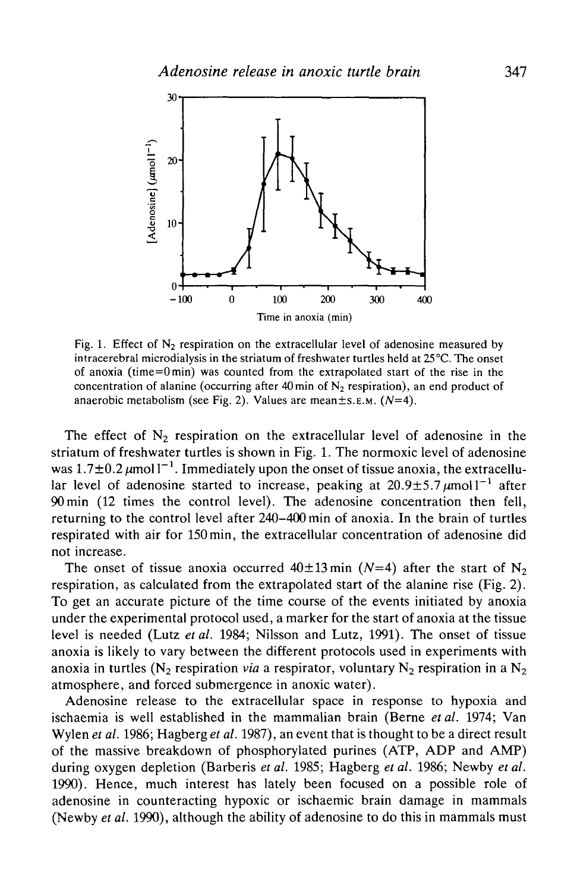

Fig. 1. Effect of  $N<sub>2</sub>$  respiration on the extracellular level of adenosine measured by intracerebral microdialysis in the striatum of freshwater turtles held at 25 °C. The onset of anoxia (time=0min) was counted from the extrapolated start of the rise in the concentration of alanine (occurring after 40 min of  $N<sub>2</sub>$  respiration), an end product of anaerobic metabolism (see Fig. 2). Values are mean±s.E.M. *(N=4).*

The effect of  $N_2$  respiration on the extracellular level of adenosine in the striatum of freshwater turtles is shown in Fig. 1. The normoxic level of adenosine was 1.7 $\pm$ 0.2  $\mu$ moll<sup>-1</sup>. Immediately upon the onset of tissue anoxia, the extracellular level of adenosine started to increase, peaking at  $20.9 \pm 5.7 \,\mu$ moll<sup>-1</sup> after 90min (12 times the control level). The adenosine concentration then fell, returning to the control level after 240-400 min of anoxia. In the brain of turtles respirated with air for 150min, the extracellular concentration of adenosine did not increase.

The onset of tissue anoxia occurred  $40\pm 13$  min (N=4) after the start of N<sub>2</sub> respiration, as calculated from the extrapolated start of the alanine rise (Fig. 2). To get an accurate picture of the time course of the events initiated by anoxia under the experimental protocol used, a marker for the start of anoxia at the tissue level is needed (Lutz *etal.* 1984; Nilsson and Lutz, 1991). The onset of tissue anoxia is likely to vary between the different protocols used in experiments with anoxia in turtles ( $N_2$  respiration *via* a respirator, voluntary  $N_2$  respiration in a  $N_2$ atmosphere, and forced submergence in anoxic water).

Adenosine release to the extracellular space in response to hypoxia and ischaemia is well established in the mammalian brain (Berne *et al.* 1974; Van Wylen *et al.* 1986; Hagberg *et al.* 1987), an event that is thought to be a direct result of the massive breakdown of phosphorylated purines (ATP, ADP and AMP) during oxygen depletion (Barberis *etal.* 1985; Hagberg *etal.* 1986; Newby *etal.* 1990). Hence, much interest has lately been focused on a possible role of adenosine in counteracting hypoxic or ischaemic brain damage in mammals (Newby *et al.* 1990), although the ability of adenosine to do this in mammals must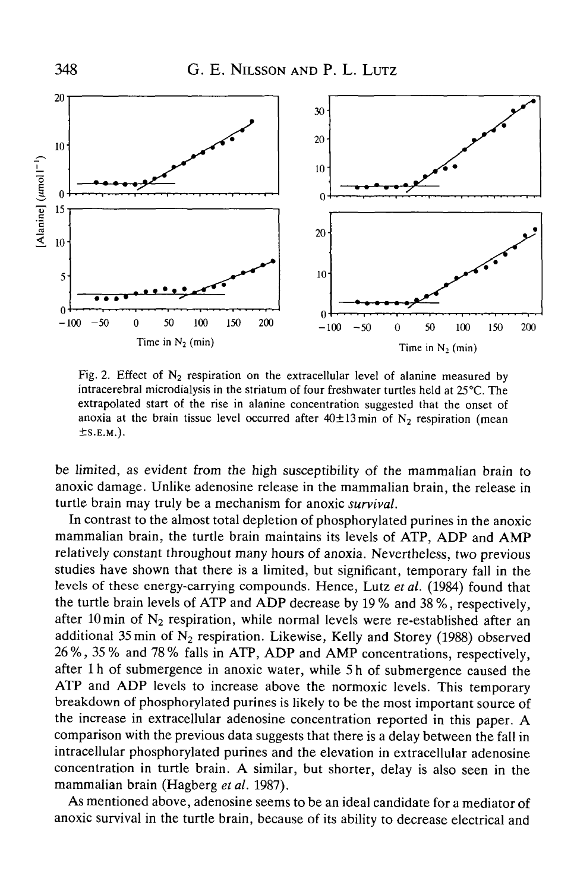348



Fig. 2. Effect of  $N_2$  respiration on the extracellular level of alanine measured by intracerebral microdialysis in the striatum of four freshwater turtles held at 25 °C. The extrapolated start of the rise in alanine concentration suggested that the onset of anoxia at the brain tissue level occurred after  $40\pm13$  min of N<sub>2</sub> respiration (mean  $\pm$ S.E.M.).

be limited, as evident from the high susceptibility of the mammalian brain to anoxic damage. Unlike adenosine release in the mammalian brain, the release in turtle brain may truly be a mechanism for anoxic *survival.*

In contrast to the almost total depletion of phosphorylated purines in the anoxic mammalian brain, the turtle brain maintains its levels of ATP, ADP and AMP relatively constant throughout many hours of anoxia. Nevertheless, two previous studies have shown that there is a limited, but significant, temporary fall in the levels of these energy-carrying compounds. Hence, Lutz *etal.* (1984) found that the turtle brain levels of ATP and ADP decrease by 19 % and 38 %, respectively, after 10 min of  $N_2$  respiration, while normal levels were re-established after an additional 35 min of  $N_2$  respiration. Likewise, Kelly and Storey (1988) observed 26%, 35% and 78% falls in ATP, ADP and AMP concentrations, respectively, after 1 h of submergence in anoxic water, while 5 h of submergence caused the ATP and ADP levels to increase above the normoxic levels. This temporary breakdown of phosphorylated purines is likely to be the most important source of the increase in extracellular adenosine concentration reported in this paper. A comparison with the previous data suggests that there is a delay between the fall in intracellular phosphorylated purines and the elevation in extracellular adenosine concentration in turtle brain. A similar, but shorter, delay is also seen in the mammalian brain (Hagberg et al. 1987).

As mentioned above, adenosine seems to be an ideal candidate for a mediator of anoxic survival in the turtle brain, because of its ability to decrease electrical and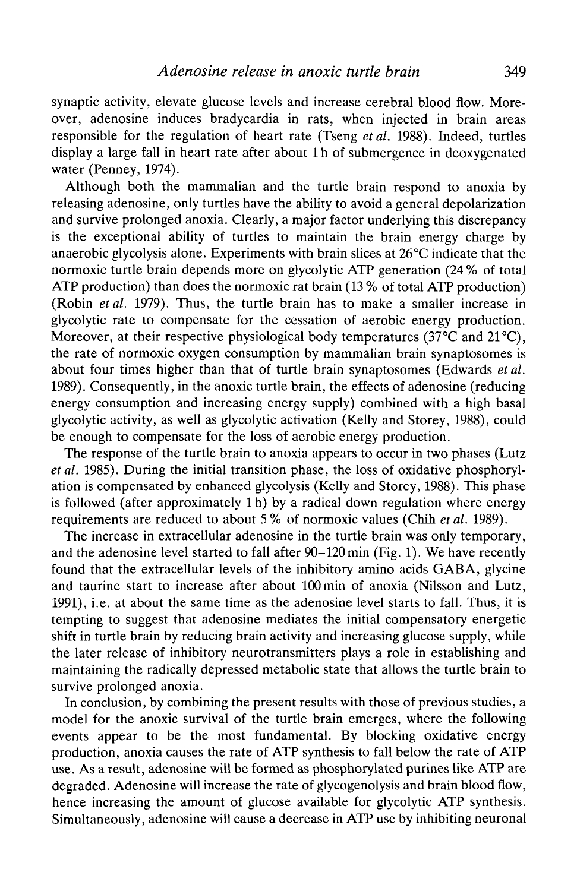synaptic activity, elevate glucose levels and increase cerebral blood flow. Moreover, adenosine induces bradycardia in rats, when injected in brain areas responsible for the regulation of heart rate (Tseng *etal.* 1988). Indeed, turtles display a large fall in heart rate after about 1 h of submergence in deoxygenated water (Penney, 1974).

Although both the mammalian and the turtle brain respond to anoxia by releasing adenosine, only turtles have the ability to avoid a general depolarization and survive prolonged anoxia. Clearly, a major factor underlying this discrepancy is the exceptional ability of turtles to maintain the brain energy charge by anaerobic glycolysis alone. Experiments with brain slices at 26°C indicate that the normoxic turtle brain depends more on glycolytic ATP generation (24 % of total ATP production) than does the normoxic rat brain (13 % of total ATP production) (Robin *etal.* 1979). Thus, the turtle brain has to make a smaller increase in glycolytic rate to compensate for the cessation of aerobic energy production. Moreover, at their respective physiological body temperatures (37 $\degree$ C and 21 $\degree$ C), the rate of normoxic oxygen consumption by mammalian brain synaptosomes is about four times higher than that of turtle brain synaptosomes (Edwards *et al.* 1989). Consequently, in the anoxic turtle brain, the effects of adenosine (reducing energy consumption and increasing energy supply) combined with a high basal glycolytic activity, as well as glycolytic activation (Kelly and Storey, 1988), could be enough to compensate for the loss of aerobic energy production.

The response of the turtle brain to anoxia appears to occur in two phases (Lutz *et al.* 1985). During the initial transition phase, the loss of oxidative phosphorylation is compensated by enhanced glycolysis (Kelly and Storey, 1988). This phase is followed (after approximately 1 h) by a radical down regulation where energy requirements are reduced to about 5 % of normoxic values (Chih *et al.* 1989).

The increase in extracellular adenosine in the turtle brain was only temporary, and the adenosine level started to fall after 90-120 min (Fig. 1). We have recently found that the extracellular levels of the inhibitory amino acids GABA, glycine and taurine start to increase after about 100 min of anoxia (Nilsson and Lutz, 1991), i.e. at about the same time as the adenosine level starts to fall. Thus, it is tempting to suggest that adenosine mediates the initial compensatory energetic shift in turtle brain by reducing brain activity and increasing glucose supply, while the later release of inhibitory neurotransmitters plays a role in establishing and maintaining the radically depressed metabolic state that allows the turtle brain to survive prolonged anoxia.

In conclusion, by combining the present results with those of previous studies, a model for the anoxic survival of the turtle brain emerges, where the following events appear to be the most fundamental. By blocking oxidative energy production, anoxia causes the rate of ATP synthesis to fall below the rate of ATP use. As a result, adenosine will be formed as phosphorylated purines like ATP are degraded. Adenosine will increase the rate of glycogenolysis and brain blood flow, hence increasing the amount of glucose available for glycolytic ATP synthesis. Simultaneously, adenosine will cause a decrease in ATP use by inhibiting neuronal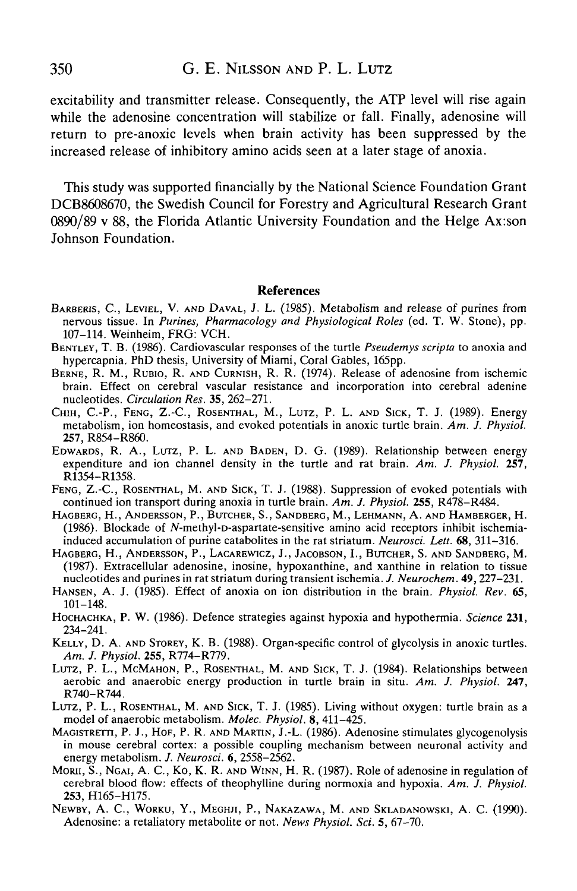## 350 G. E. NILSSON AND P. L. LUTZ

excitability and transmitter release. Consequently, the ATP level will rise again while the adenosine concentration will stabilize or fall. Finally, adenosine will return to pre-anoxic levels when brain activity has been suppressed by the increased release of inhibitory amino acids seen at a later stage of anoxia.

This study was supported financially by the National Science Foundation Grant DCB8608670, the Swedish Council for Forestry and Agricultural Research Grant 0890/89 v 88, the Florida Atlantic University Foundation and the Helge Ax:son Johnson Foundation.

#### **References**

- BARBERIS, C., LEVIEL, V. AND DAVAL, J. L. (1985). Metabolism and release of purines from nervous tissue. In *Purines, Pharmacology and Physiological Roles* (ed. T. W. Stone), pp.
- BENTLEY, T. B. (1986). Cardiovascular responses of the turtle *Pseudemys scripta* to anoxia and hypercapnia. PhD thesis, University of Miami, Coral Gables, 165pp.
- BERNE, R. M., RUBIO, R. AND CURNISH, R. R. (1974). Release of adenosine from ischemic brain. Effect on cerebral vascular resistance and incorporation into cerebral adenine nucleotides. Circulation Res. 35, 262-271.
- CHIH, C.-P., FENG, Z.-C., ROSENTHAL, M., LUTZ, P. L. AND SICK, T. J. (1989). Energy metabolism, ion homeostasis, and evoked potentials in anoxic turtle brain. *Am. J. Physiol.*
- EDWARDS, R. A., LUTZ, P. L. AND BADEN, D. G. (1989). Relationship between energy expenditure and ion channel density in the turtle and rat brain. Am. J. Physiol. 257, R1354-R1358.<br>
FENG, Z.-C., ROSENTHAL, M. AND SICK, T. J. (1988). Suppression of evoked potentials with
- continued ion transport during anoxia in turtle brain. *Am. J. Physiol.* **255,** R478-R484.
- HAGBERG, H., ANDERSSON, P., BUTCHER, S., SANDBERG, M., LEHMANN, A. AND HAMBERGER, H. (1986). Blockade of jV-methyl-D-aspartate-sensitive amino acid receptors inhibit ischemia- induced accumulation of purine catabolites in the rat striatum. *Neurosci. Lett.* 68, 311-316.
- HAGBERG, H., ANDERSSON, P., LACAREWICZ, J., JACOBSON, I., BUTCHER, S. AND SANDBERG, M. (1987). Extracellular adenosine, inosine, hypoxanthine, and xanthine in relation to tissue nucleotides and purines in rat striatum during transient ischemia. J. Neurochem.  $49, 227-231$ .
- HANSEN, A. J. (1985). Effect of anoxia on ion distribution in the brain. *Physiol. Rev.* 65,
- 101–148.<br>HOCHACHKA, P. W. (1986). Defence strategies against hypoxia and hypothermia. *Science* 231,<br>234–241.<br>KELLY, D. A. AND STOREY, K. B. (1988). Organ-specific control of glycolysis in anoxic turtles.
- 
- *Am. J. Physiol.* 255, R774–R779.<br>
LUTZ, P. L., MCMAHON, P., ROSENTHAL, M. AND SICK, T. J. (1984). Relationships between<br>
aerobic and anaerobic energy production in turtle brain in situ. *Am. J. Physiol.* 247,
- R740–R744.<br>
LUTZ, P. L., ROSENTHAL, M. AND SICK, T. J. (1985). Living without oxygen: turtle brain as a model of anaerobic metabolism. *Molec. Physiol.* **8**, 411–425.
- MAGISTRETTI, P. J., HOF, P. R. AND MARTIN, J.-L. (1986). Adenosine stimulates glycogenolysis in mouse cerebral cortex: a possible coupling mechanism between neuronal activity and energy metabolism. J. Neurosci. 6, 2558–2562.
- MORII, S., NGAI, A. C., Ko, K. R. AND WINN, H. R. (1987). Role of adenosine in regulation of cerebral blood flow: effects of theophylline during normoxia and hypoxia. *Am. J. Physiol.* **253,** H165-H175. NEWBY, A. C, WORKU, Y., MEGHJI, P., NAKAZAWA, M. AND SKLADANOWSKI, A. C. (1990).
- Adenosine: a retaliatory metabolite or not. *News Physiol. Sci.* 5, 67-70.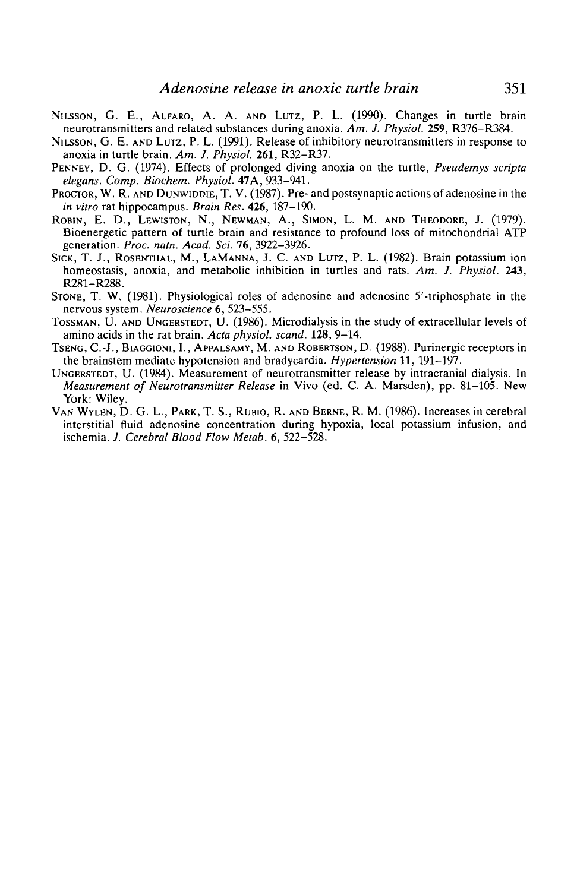- NILSSON, G. E., ALFARO, A. A. AND LUTZ, P. L. (1990). Changes in turtle brain neurotransmitters and related substances during anoxia. Am. J. Physiol. 259, R376–R384.
- NILSSON, G. E. AND LUTZ, P. L. (1991). Release of inhibitory neurotransmitters in response to anoxia in turtle brain. Am. J. Physiol. **261**, R32–R37.
- PENNEY, D. G. (1974). Effects of prolonged diving anoxia on the turtle, *Pseudemys scripta elegans. Comp. Biochem. Physiol.* 47A, 933-941.
- *PROCTOR, W. R. AND DUNWIDDIE, T. V.* (1987). Pre- and postsynaptic actions of adenosine in the *in vitro* rat hippocampus. *Brain Res.* 426, 187–190.
- ROBIN, E. D., LEWISTON, N., NEWMAN, A., SIMON, L. M. AND THEODORE, J. (1979). Bioenergetic pattern of turtle brain and resistance to profound loss of mitochondrial ATP generation. Proc. natn. Acad. Sci. 76, 3922-3926.
- SICK, T. J., ROSENTHAL, M., LAMANNA, J. C. AND LUTZ, P. L. (1982). Brain potassium ion homeostasis, anoxia, and metabolic inhibition in turtles and rats. *Am. J. Physiol.* **243,**
- STONE, T. W. (1981). Physiological roles of adenosine and adenosine 5'-triphosphate in the nervous system. Neuroscience  $6, 523-555$ .
- TOSSMAN, U. AND UNGERSTEDT, U. (1986). Microdialysis in the study of extracellular levels of amino acids in the rat brain. *Acta physiol. scand.* **128**, 9–14.
- TSENG, C.-J., BIAGGIONI, I., APPALSAMY, M. AND ROBERTSON, D. (1988). Purinergic receptors in the brainstem mediate hypotension and bradycardia. *Hypertension* **11,**191-197. UNGERSTEDT, U. (1984). Measurement of neurotransmitter release by intracranial dialysis. In
- *Measurement of Neurotransmitter Release* in Vivo (ed. C. A. Marsden), pp. 81-105. New
- VAN WYLEN, D. G. L., PARK, T. S., RUBIO, R. AND BERNE, R. M. (1986). Increases in cerebral interstitial fluid adenosine concentration during hypoxia, local potassium infusion, and ischemia. *J. Cerebral Blood Flow Metab.* 6, 522-528.